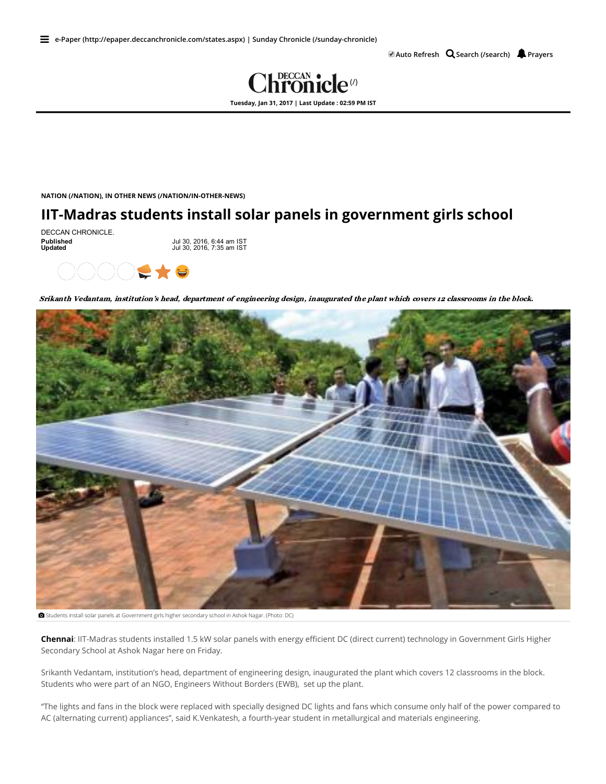$\blacksquare$  Auto [Refresh](javascript:void(0))  $\Omega$  Search [\(/search\)](http://www.deccanchronicle.com/search)  $\blacksquare$  [Prayers](javascript:void(0))



NATION [\(/NATION\),](http://www.deccanchronicle.com/nation) IN OTHER NEWS [\(/NATION/IN-OTHER-NEWS\)](http://www.deccanchronicle.com/nation/in-other-news)

## IIT-Madras students install solar panels in government girls school

DECCAN CHRONICLE.<br>Published<br>Updated

Published Jul 30, 2016, 6:44 am IST Updated Jul 30, 2016, 7:35 am IST



Srikanth Vedantam, institution's head, department of engineering design, inaugurated the plant which covers 12 classrooms in the block.



Students install solar panels at Government girls higher secondary school in Ashok Nagar. (Photo: DC)

Chennai: IIT-Madras students installed 1.5 kW solar panels with energy efficient DC (direct current) technology in Government Girls Higher Secondary School at Ashok Nagar here on Friday.

Srikanth Vedantam, institution's head, department of engineering design, inaugurated the plant which covers 12 classrooms in the block. Students who were part of an NGO, Engineers Without Borders (EWB), set up the plant.

"The lights and fans in the block were replaced with specially designed DC lights and fans which consume only half of the power compared to AC (alternating current) appliances", said K.Venkatesh, a fourth-year student in metallurgical and materials engineering.